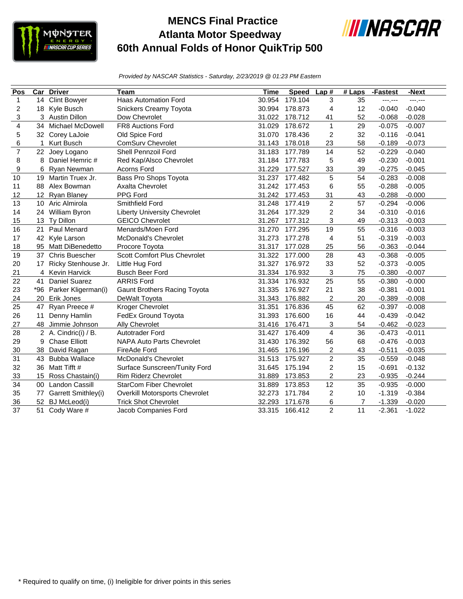

## **MENCS Final Practice Atlanta Motor Speedway 60th Annual Folds of Honor QuikTrip 500**



*Provided by NASCAR Statistics - Saturday, 2/23/2019 @ 01:23 PM Eastern*

| Pos                     | Car         | <b>Driver</b>           | Team                                | Time   | <b>Speed</b>   | Lap#                    | $#$ Laps | -Fastest | -Next    |
|-------------------------|-------------|-------------------------|-------------------------------------|--------|----------------|-------------------------|----------|----------|----------|
| $\mathbf{1}$            | 14          | <b>Clint Bowyer</b>     | <b>Haas Automation Ford</b>         | 30.954 | 179.104        | 3                       | 35       | ---.---  | ---.---  |
| $\overline{c}$          | 18          | Kyle Busch              | Snickers Creamy Toyota              | 30.994 | 178.873        | 4                       | 12       | $-0.040$ | $-0.040$ |
| 3                       |             | 3 Austin Dillon         | Dow Chevrolet                       | 31.022 | 178.712        | 41                      | 52       | $-0.068$ | $-0.028$ |
| $\overline{\mathbf{4}}$ | 34          | Michael McDowell        | FR8 Auctions Ford                   | 31.029 | 178.672        | $\mathbf{1}$            | 29       | $-0.075$ | $-0.007$ |
| 5                       |             | 32 Corey LaJoie         | Old Spice Ford                      | 31.070 | 178.436        | 2                       | 32       | $-0.116$ | $-0.041$ |
| 6                       | $\mathbf 1$ | Kurt Busch              | <b>ComSurv Chevrolet</b>            | 31.143 | 178.018        | 23                      | 58       | $-0.189$ | $-0.073$ |
| $\overline{7}$          | 22          | Joey Logano             | Shell Pennzoil Ford                 | 31.183 | 177.789        | 14                      | 52       | $-0.229$ | $-0.040$ |
| 8                       | 8           | Daniel Hemric #         | Red Kap/Alsco Chevrolet             | 31.184 | 177.783        | 5                       | 49       | $-0.230$ | $-0.001$ |
| 9                       | 6           | Ryan Newman             | Acorns Ford                         | 31.229 | 33<br>177.527  |                         | 39       | $-0.275$ | $-0.045$ |
| 10                      | 19          | Martin Truex Jr.        | Bass Pro Shops Toyota               | 31.237 | 177.482        | 5                       | 54       | $-0.283$ | $-0.008$ |
| 11                      | 88          | Alex Bowman             | <b>Axalta Chevrolet</b>             |        | 31.242 177.453 | 6                       | 55       | $-0.288$ | $-0.005$ |
| 12                      |             | 12 Ryan Blaney          | PPG Ford                            |        | 31.242 177.453 | 31                      | 43       | $-0.288$ | $-0.000$ |
| 13                      |             | 10 Aric Almirola        | Smithfield Ford                     | 31.248 | 177.419        | $\overline{2}$          | 57       | $-0.294$ | $-0.006$ |
| 14                      |             | 24 William Byron        | <b>Liberty University Chevrolet</b> | 31.264 | 177.329        | $\overline{c}$          | 34       | $-0.310$ | $-0.016$ |
| 15                      | 13          | Ty Dillon               | <b>GEICO Chevrolet</b>              | 31.267 | 177.312        | 3                       | 49       | $-0.313$ | $-0.003$ |
| 16                      | 21          | Paul Menard             | Menards/Moen Ford                   | 31.270 | 177.295        | 19                      | 55       | $-0.316$ | $-0.003$ |
| 17                      |             | 42 Kyle Larson          | <b>McDonald's Chevrolet</b>         | 31.273 | 177.278        | 4                       | 51       | $-0.319$ | $-0.003$ |
| 18                      |             | 95 Matt DiBenedetto     | Procore Toyota                      | 31.317 | 177.028        | 25                      | 56       | $-0.363$ | $-0.044$ |
| 19                      | 37          | <b>Chris Buescher</b>   | Scott Comfort Plus Chevrolet        | 31.322 | 177.000        | 28                      | 43       | $-0.368$ | $-0.005$ |
| 20                      | 17          | Ricky Stenhouse Jr.     | Little Hug Ford                     | 31.327 | 176.972        | 33                      | 52       | $-0.373$ | $-0.005$ |
| 21                      | 4           | Kevin Harvick           | <b>Busch Beer Ford</b>              | 31.334 | 176.932        | 3                       | 75       | $-0.380$ | $-0.007$ |
| 22                      | 41          | <b>Daniel Suarez</b>    | <b>ARRIS Ford</b>                   | 31.334 | 176.932        | 25                      | 55       | $-0.380$ | $-0.000$ |
| 23                      |             | *96 Parker Kligerman(i) | Gaunt Brothers Racing Toyota        | 31.335 | 176.927        | 21                      | 38       | $-0.381$ | $-0.001$ |
| 24                      | 20          | Erik Jones              | DeWalt Toyota                       | 31.343 | 176.882        | 2                       | 20       | $-0.389$ | $-0.008$ |
| 25                      | 47          | Ryan Preece #           | Kroger Chevrolet                    | 31.351 | 176.836        | 45                      | 62       | $-0.397$ | $-0.008$ |
| 26                      | 11          | Denny Hamlin            | FedEx Ground Toyota                 | 31.393 | 176.600        | 16                      | 44       | $-0.439$ | $-0.042$ |
| 27                      | 48          | Jimmie Johnson          | Ally Chevrolet                      | 31.416 | 176.471        | 3                       | 54       | $-0.462$ | $-0.023$ |
| 28                      |             | 2 A. Cindric(i) / B.    | Autotrader Ford                     | 31.427 | 176.409        | $\overline{\mathbf{4}}$ | 36       | $-0.473$ | $-0.011$ |
| 29                      | 9           | <b>Chase Elliott</b>    | <b>NAPA Auto Parts Chevrolet</b>    | 31.430 | 176.392        | 56                      | 68       | $-0.476$ | $-0.003$ |
| 30                      | 38          | David Ragan             | FireAde Ford                        | 31.465 | 176.196        | 2                       | 43       | $-0.511$ | $-0.035$ |
| 31                      | 43          | <b>Bubba Wallace</b>    | McDonald's Chevrolet                | 31.513 | 175.927        | $\overline{2}$          | 35       | $-0.559$ | $-0.048$ |
| 32                      | 36          | Matt Tifft #            | Surface Sunscreen/Tunity Ford       | 31.645 | 175.194        | $\overline{\mathbf{c}}$ | 15       | $-0.691$ | $-0.132$ |
| 33                      | 15          | Ross Chastain(i)        | Rim Riderz Chevrolet                | 31.889 | 173.853        | $\overline{c}$          | 23       | $-0.935$ | $-0.244$ |
| 34                      |             | 00 Landon Cassill       | <b>StarCom Fiber Chevrolet</b>      | 31.889 | 173.853        | 12                      | 35       | $-0.935$ | $-0.000$ |
| 35                      | 77          | Garrett Smithley(i)     | Overkill Motorsports Chevrolet      | 32.273 | 171.784        | $\overline{c}$          | 10       | $-1.319$ | $-0.384$ |
| 36                      |             | 52 BJ McLeod(i)         | <b>Trick Shot Chevrolet</b>         | 32.293 | 171.678        | 6                       | 7        | $-1.339$ | $-0.020$ |
| 37                      |             | 51 Cody Ware #          | Jacob Companies Ford                | 33.315 | 166.412        | $\overline{2}$          | 11       | $-2.361$ | $-1.022$ |